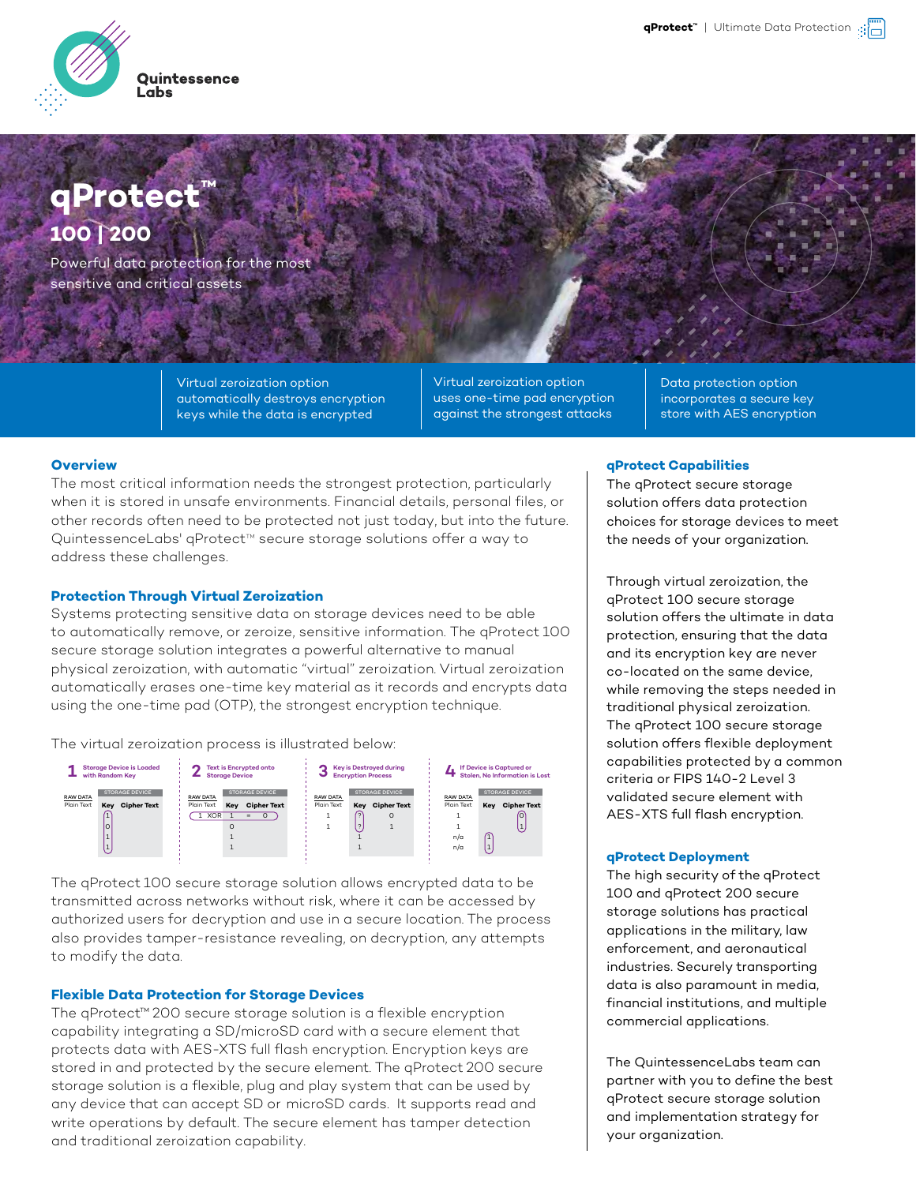

# **qProtect ™ 100 | 200**

Powerful data protection for the most sensitive and critical assets

> Virtual zeroization option automatically destroys encryption keys while the data is encrypted

Virtual zeroization option uses one-time pad encryption against the strongest attacks

Data protection option incorporates a secure key store with AES encryption

#### **Overview**

The most critical information needs the strongest protection, particularly when it is stored in unsafe environments. Financial details, personal files, or other records often need to be protected not just today, but into the future. QuintessenceLabs' qProtect™ secure storage solutions offer a way to address these challenges.

### **Protection Through Virtual Zeroization**

Systems protecting sensitive data on storage devices need to be able to automatically remove, or zeroize, sensitive information. The qProtect 100 secure storage solution integrates a powerful alternative to manual physical zeroization, with automatic "virtual" zeroization. Virtual zeroization automatically erases one-time key material as it records and encrypts data using the one-time pad (OTP), the strongest encryption technique.

The virtual zeroization process is illustrated below:



The qProtect 100 secure storage solution allows encrypted data to be transmitted across networks without risk, where it can be accessed by authorized users for decryption and use in a secure location. The process also provides tamper-resistance revealing, on decryption, any attempts to modify the data.

# **Flexible Data Protection for Storage Devices**

The qProtect™ 200 secure storage solution is a flexible encryption capability integrating a SD/microSD card with a secure element that protects data with AES-XTS full flash encryption. Encryption keys are stored in and protected by the secure element. The qProtect 200 secure storage solution is a flexible, plug and play system that can be used by any device that can accept SD or microSD cards. It supports read and write operations by default. The secure element has tamper detection and traditional zeroization capability.

#### **qProtect Capabilities**

The qProtect secure storage solution offers data protection choices for storage devices to meet the needs of your organization.

Through virtual zeroization, the qProtect 100 secure storage solution offers the ultimate in data protection, ensuring that the data and its encryption key are never co-located on the same device, while removing the steps needed in traditional physical zeroization. The qProtect 100 secure storage solution offers flexible deployment capabilities protected by a common criteria or FIPS 140-2 Level 3 validated secure element with AES-XTS full flash encryption.

#### **qProtect Deployment**

The high security of the qProtect 100 and qProtect 200 secure storage solutions has practical applications in the military, law enforcement, and aeronautical industries. Securely transporting data is also paramount in media, financial institutions, and multiple commercial applications.

The QuintessenceLabs team can partner with you to define the best qProtect secure storage solution and implementation strategy for your organization.